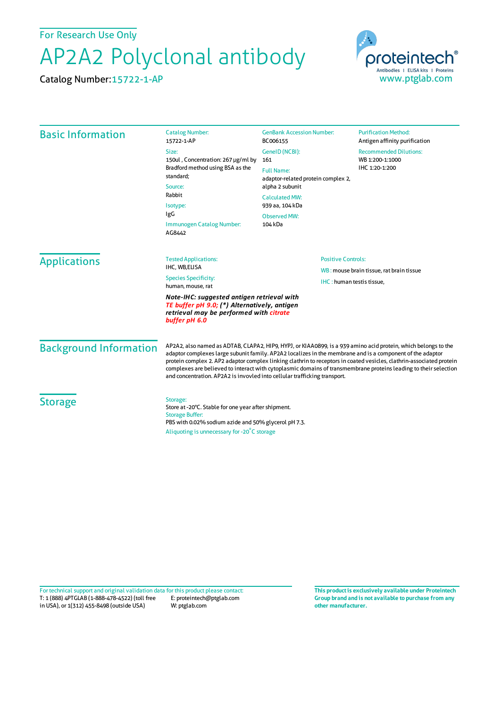For Research Use Only

## AP2A2 Polyclonal antibody

Catalog Number:15722-1-AP



| <b>Basic Information</b>                                                                                                                               | <b>Catalog Number:</b><br>15722-1-AP                                                                                                                                                                                                                                                                                                                                                                                                                                                                                                                 | <b>GenBank Accession Number:</b><br>BC006155                | <b>Purification Method:</b><br>Antigen affinity purification                                     |                                                                                                    |
|--------------------------------------------------------------------------------------------------------------------------------------------------------|------------------------------------------------------------------------------------------------------------------------------------------------------------------------------------------------------------------------------------------------------------------------------------------------------------------------------------------------------------------------------------------------------------------------------------------------------------------------------------------------------------------------------------------------------|-------------------------------------------------------------|--------------------------------------------------------------------------------------------------|----------------------------------------------------------------------------------------------------|
|                                                                                                                                                        | Size:<br>150ul, Concentration: 267 µg/ml by<br>Bradford method using BSA as the<br>standard;<br>Source:<br>Rabbit<br>Isotype:<br>IgG<br>Immunogen Catalog Number:<br>AG8442                                                                                                                                                                                                                                                                                                                                                                          | GeneID (NCBI):<br>161                                       | <b>Recommended Dilutions:</b><br>WB 1:200-1:1000<br>IHC 1:20-1:200                               |                                                                                                    |
|                                                                                                                                                        |                                                                                                                                                                                                                                                                                                                                                                                                                                                                                                                                                      | <b>Full Name:</b><br>adaptor-related protein complex 2,     |                                                                                                  |                                                                                                    |
|                                                                                                                                                        |                                                                                                                                                                                                                                                                                                                                                                                                                                                                                                                                                      | alpha 2 subunit<br><b>Calculated MW:</b><br>939 aa, 104 kDa |                                                                                                  |                                                                                                    |
|                                                                                                                                                        |                                                                                                                                                                                                                                                                                                                                                                                                                                                                                                                                                      |                                                             |                                                                                                  | <b>Observed MW:</b><br>104 kDa                                                                     |
|                                                                                                                                                        |                                                                                                                                                                                                                                                                                                                                                                                                                                                                                                                                                      | <b>Applications</b>                                         | <b>Tested Applications:</b><br>IHC, WB,ELISA<br><b>Species Specificity:</b><br>human, mouse, rat | <b>Positive Controls:</b><br>WB: mouse brain tissue, rat brain tissue<br>IHC: human testis tissue, |
| Note-IHC: suggested antigen retrieval with<br>TE buffer pH 9.0; (*) Alternatively, antigen<br>retrieval may be performed with citrate<br>buffer pH 6.0 |                                                                                                                                                                                                                                                                                                                                                                                                                                                                                                                                                      |                                                             |                                                                                                  |                                                                                                    |
| <b>Background Information</b>                                                                                                                          | AP2A2, also named as ADTAB, CLAPA2, HIP9, HYPJ, or KIAA0899, is a 939 amino acid protein, which belongs to the<br>adaptor complexes large subunit family. AP2A2 localizes in the membrane and is a component of the adaptor<br>protein complex 2. AP2 adaptor complex linking clathrin to receptors in coated vesicles, clathrin-associated protein<br>complexes are believed to interact with cytoplasmic domains of transmembrane proteins leading to their selection<br>and concentration. AP2A2 is invovled into cellular trafficking transport. |                                                             |                                                                                                  |                                                                                                    |
| <b>Storage</b>                                                                                                                                         | Storage:<br>Store at -20°C. Stable for one year after shipment.<br><b>Storage Buffer:</b><br>PBS with 0.02% sodium azide and 50% glycerol pH 7.3.<br>Aliquoting is unnecessary for -20°C storage                                                                                                                                                                                                                                                                                                                                                     |                                                             |                                                                                                  |                                                                                                    |

T: 1 (888) 4PTGLAB (1-888-478-4522) (toll free in USA), or 1(312) 455-8498 (outside USA) E: proteintech@ptglab.com W: ptglab.com Fortechnical support and original validation data forthis product please contact: **This productis exclusively available under Proteintech**

**Group brand and is not available to purchase from any other manufacturer.**